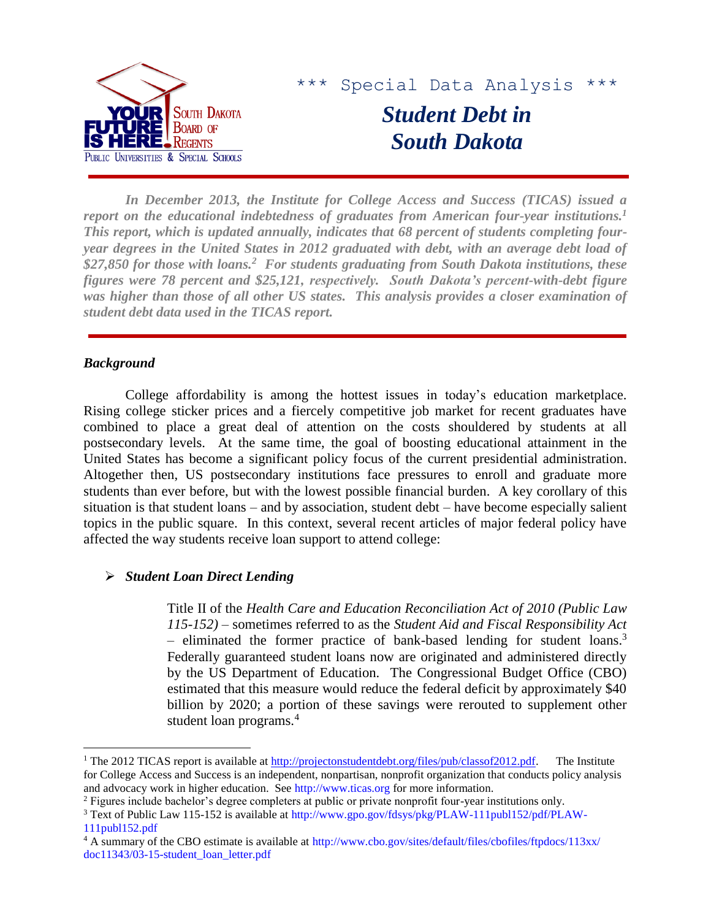

*In December 2013, the Institute for College Access and Success (TICAS) issued a report on the educational indebtedness of graduates from American four-year institutions.<sup>1</sup> This report, which is updated annually, indicates that 68 percent of students completing fouryear degrees in the United States in 2012 graduated with debt, with an average debt load of \$27,850 for those with loans.<sup>2</sup> For students graduating from South Dakota institutions, these figures were 78 percent and \$25,121, respectively. South Dakota's percent-with-debt figure was higher than those of all other US states. This analysis provides a closer examination of student debt data used in the TICAS report.*

## *Background*

 $\overline{a}$ 

College affordability is among the hottest issues in today's education marketplace. Rising college sticker prices and a fiercely competitive job market for recent graduates have combined to place a great deal of attention on the costs shouldered by students at all postsecondary levels. At the same time, the goal of boosting educational attainment in the United States has become a significant policy focus of the current presidential administration. Altogether then, US postsecondary institutions face pressures to enroll and graduate more students than ever before, but with the lowest possible financial burden. A key corollary of this situation is that student loans – and by association, student debt – have become especially salient topics in the public square. In this context, several recent articles of major federal policy have affected the way students receive loan support to attend college:

# *Student Loan Direct Lending*

Title II of the *Health Care and Education Reconciliation Act of 2010 (Public Law 115-152)* – sometimes referred to as the *Student Aid and Fiscal Responsibility Act* – eliminated the former practice of bank-based lending for student loans.<sup>3</sup> Federally guaranteed student loans now are originated and administered directly by the US Department of Education. The Congressional Budget Office (CBO) estimated that this measure would reduce the federal deficit by approximately \$40 billion by 2020; a portion of these savings were rerouted to supplement other student loan programs.<sup>4</sup>

<sup>&</sup>lt;sup>1</sup> The 2012 TICAS report is available at [http://projectonstudentdebt.org/files/pub/classof2012.pdf.](http://projectonstudentdebt.org/files/pub/classof2012.pdf) The Institute for College Access and Success is an independent, nonpartisan, nonprofit organization that conducts policy analysis and advocacy work in higher education. See [http://www.ticas.org](http://www.ticas.org/) for more information.

<sup>&</sup>lt;sup>2</sup> Figures include bachelor's degree completers at public or private nonprofit four-year institutions only.

<sup>3</sup> Text of Public Law 115-152 is available at [http://www.gpo.gov/fdsys/pkg/PLAW-111publ152/pdf/PLAW-](http://www.gpo.gov/fdsys/pkg/PLAW-111publ152/pdf/PLAW-111publ152.pdf)[111publ152.pdf](http://www.gpo.gov/fdsys/pkg/PLAW-111publ152/pdf/PLAW-111publ152.pdf)

<sup>4</sup> A summary of the CBO estimate is available at [http://www.cbo.gov/sites/default/files/cbofiles/ftpdocs/113xx/](http://www.cbo.gov/sites/default/files/cbofiles/ftpdocs/113xx/doc11343/03-15-student_loan_letter.pdf) [doc11343/03-15-student\\_loan\\_letter.pdf](http://www.cbo.gov/sites/default/files/cbofiles/ftpdocs/113xx/doc11343/03-15-student_loan_letter.pdf)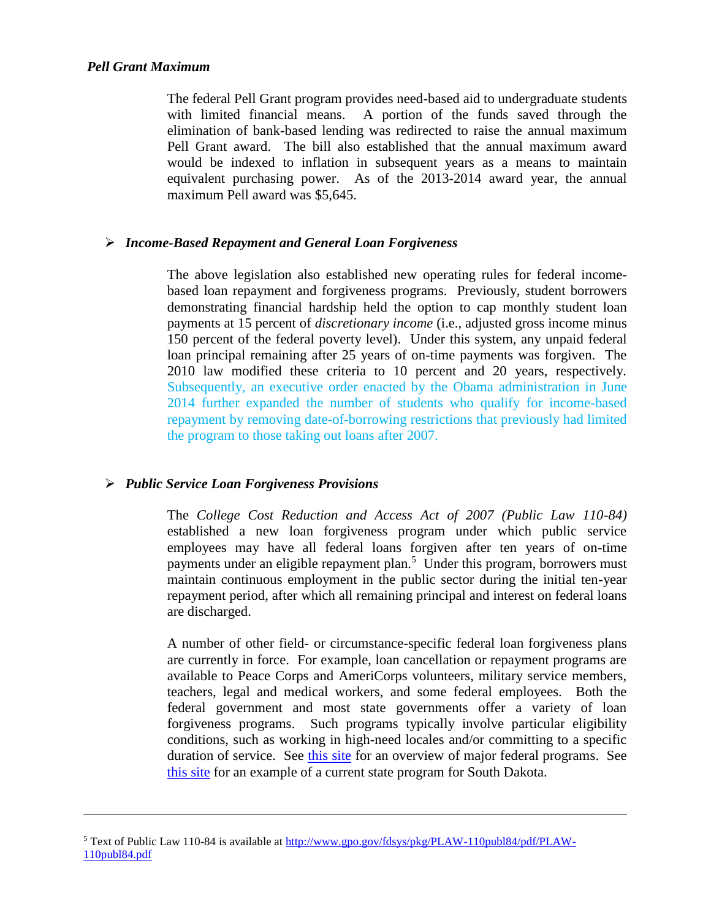### *Pell Grant Maximum*

 $\overline{a}$ 

The federal Pell Grant program provides need-based aid to undergraduate students with limited financial means. A portion of the funds saved through the elimination of bank-based lending was redirected to raise the annual maximum Pell Grant award. The bill also established that the annual maximum award would be indexed to inflation in subsequent years as a means to maintain equivalent purchasing power. As of the 2013-2014 award year, the annual maximum Pell award was \$5,645.

# *Income-Based Repayment and General Loan Forgiveness*

The above legislation also established new operating rules for federal incomebased loan repayment and forgiveness programs. Previously, student borrowers demonstrating financial hardship held the option to cap monthly student loan payments at 15 percent of *discretionary income* (i.e., adjusted gross income minus 150 percent of the federal poverty level). Under this system, any unpaid federal loan principal remaining after 25 years of on-time payments was forgiven. The 2010 law modified these criteria to 10 percent and 20 years, respectively. Subsequently, an executive order enacted by the Obama administration in June 2014 further expanded the number of students who qualify for income-based repayment by removing date-of-borrowing restrictions that previously had limited the program to those taking out loans after 2007.

## *Public Service Loan Forgiveness Provisions*

The *College Cost Reduction and Access Act of 2007 (Public Law 110-84)* established a new loan forgiveness program under which public service employees may have all federal loans forgiven after ten years of on-time payments under an eligible repayment plan.<sup>5</sup> Under this program, borrowers must maintain continuous employment in the public sector during the initial ten-year repayment period, after which all remaining principal and interest on federal loans are discharged.

A number of other field- or circumstance-specific federal loan forgiveness plans are currently in force. For example, loan cancellation or repayment programs are available to Peace Corps and AmeriCorps volunteers, military service members, teachers, legal and medical workers, and some federal employees. Both the federal government and most state governments offer a variety of loan forgiveness programs. Such programs typically involve particular eligibility conditions, such as working in high-need locales and/or committing to a specific duration of service. See [this site](http://www.finaid.org/loans/forgiveness.phtml) for an overview of major federal programs. See [this site](http://doh.sd.gov/providers/ruralhealth/recruitment-assistance-healthcare-professionals/rap.aspx) for an example of a current state program for South Dakota.

<sup>5</sup> Text of Public Law 110-84 is available at [http://www.gpo.gov/fdsys/pkg/PLAW-110publ84/pdf/PLAW-](http://www.gpo.gov/fdsys/pkg/PLAW-110publ84/pdf/PLAW-110publ84.pdf)[110publ84.pdf](http://www.gpo.gov/fdsys/pkg/PLAW-110publ84/pdf/PLAW-110publ84.pdf)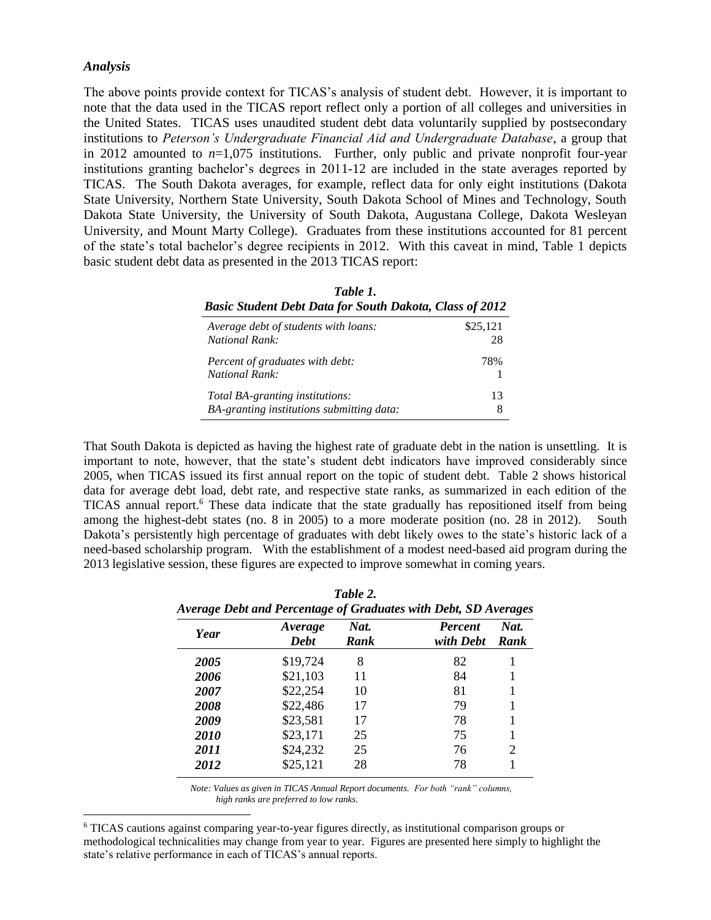#### *Analysis*

 $\overline{a}$ 

The above points provide context for TICAS's analysis of student debt. However, it is important to note that the data used in the TICAS report reflect only a portion of all colleges and universities in the United States. TICAS uses unaudited student debt data voluntarily supplied by postsecondary institutions to *Peterson's Undergraduate Financial Aid and Undergraduate Database*, a group that in 2012 amounted to *n*=1,075 institutions. Further, only public and private nonprofit four-year institutions granting bachelor's degrees in 2011-12 are included in the state averages reported by TICAS. The South Dakota averages, for example, reflect data for only eight institutions (Dakota State University, Northern State University, South Dakota School of Mines and Technology, South Dakota State University, the University of South Dakota, Augustana College, Dakota Wesleyan University, and Mount Marty College). Graduates from these institutions accounted for 81 percent of the state's total bachelor's degree recipients in 2012. With this caveat in mind, Table 1 depicts basic student debt data as presented in the 2013 TICAS report:

| Table 1.<br><b>Basic Student Debt Data for South Dakota, Class of 2012</b> |          |  |  |  |
|----------------------------------------------------------------------------|----------|--|--|--|
| Average debt of students with loans:                                       | \$25,121 |  |  |  |
| <b>National Rank:</b>                                                      | 28       |  |  |  |
| Percent of graduates with debt:<br><b>National Rank:</b>                   | 78%      |  |  |  |
| Total BA-granting institutions:                                            | 13       |  |  |  |
| BA-granting institutions submitting data:                                  | 8        |  |  |  |

That South Dakota is depicted as having the highest rate of graduate debt in the nation is unsettling. It is important to note, however, that the state's student debt indicators have improved considerably since 2005, when TICAS issued its first annual report on the topic of student debt. Table 2 shows historical data for average debt load, debt rate, and respective state ranks, as summarized in each edition of the TICAS annual report.<sup>6</sup> These data indicate that the state gradually has repositioned itself from being among the highest-debt states (no. 8 in 2005) to a more moderate position (no. 28 in 2012). South Dakota's persistently high percentage of graduates with debt likely owes to the state's historic lack of a need-based scholarship program. With the establishment of a modest need-based aid program during the 2013 legislative session, these figures are expected to improve somewhat in coming years.

| ruvie 4.<br>Average Debt and Percentage of Graduates with Debt, SD Averages |                        |              |                             |              |  |  |
|-----------------------------------------------------------------------------|------------------------|--------------|-----------------------------|--------------|--|--|
| Year                                                                        | Average<br><b>Debt</b> | Nat.<br>Rank | <b>Percent</b><br>with Debt | Nat.<br>Rank |  |  |
| 2005                                                                        | \$19,724               | 8            | 82                          |              |  |  |
| 2006                                                                        | \$21,103               | 11           | 84                          |              |  |  |
| 2007                                                                        | \$22,254               | 10           | 81                          |              |  |  |
| 2008                                                                        | \$22,486               | 17           | 79                          |              |  |  |
| 2009                                                                        | \$23,581               | 17           | 78                          |              |  |  |
| <b>2010</b>                                                                 | \$23,171               | 25           | 75                          |              |  |  |
| 2011                                                                        | \$24,232               | 25           | 76                          | 2            |  |  |
| 2012                                                                        | \$25,121               | 28           | 78                          |              |  |  |

|                                                                 | Table 2. |  |
|-----------------------------------------------------------------|----------|--|
| Average Debt and Percentage of Graduates with Debt, SD Averages |          |  |

 *Note: Values as given in TICAS Annual Report documents. For both "rank" columns, high ranks are preferred to low ranks.*

<sup>6</sup> TICAS cautions against comparing year-to-year figures directly, as institutional comparison groups or methodological technicalities may change from year to year. Figures are presented here simply to highlight the state's relative performance in each of TICAS's annual reports.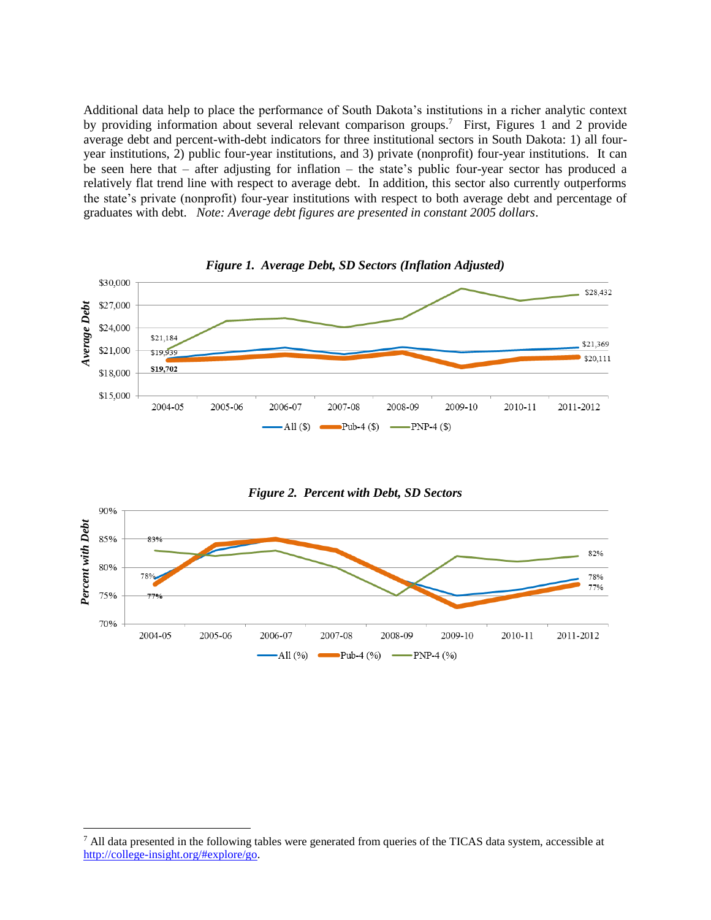Additional data help to place the performance of South Dakota's institutions in a richer analytic context by providing information about several relevant comparison groups.<sup>7</sup> First, Figures 1 and 2 provide average debt and percent-with-debt indicators for three institutional sectors in South Dakota: 1) all fouryear institutions, 2) public four-year institutions, and 3) private (nonprofit) four-year institutions. It can be seen here that – after adjusting for inflation – the state's public four-year sector has produced a relatively flat trend line with respect to average debt. In addition, this sector also currently outperforms the state's private (nonprofit) four-year institutions with respect to both average debt and percentage of graduates with debt. *Note: Average debt figures are presented in constant 2005 dollars*.





<sup>&</sup>lt;sup>7</sup> All data presented in the following tables were generated from queries of the TICAS data system, accessible at

 $\overline{a}$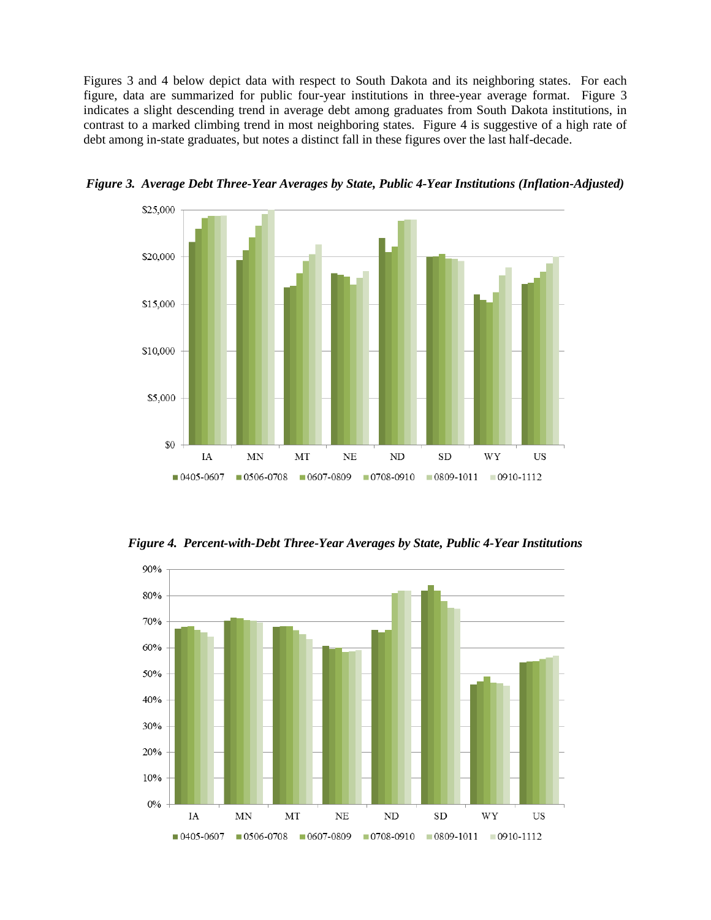Figures 3 and 4 below depict data with respect to South Dakota and its neighboring states. For each figure, data are summarized for public four-year institutions in three-year average format. Figure 3 indicates a slight descending trend in average debt among graduates from South Dakota institutions, in contrast to a marked climbing trend in most neighboring states. Figure 4 is suggestive of a high rate of debt among in-state graduates, but notes a distinct fall in these figures over the last half-decade.



*Figure 3. Average Debt Three-Year Averages by State, Public 4-Year Institutions (Inflation-Adjusted)*

*Figure 4. Percent-with-Debt Three-Year Averages by State, Public 4-Year Institutions*